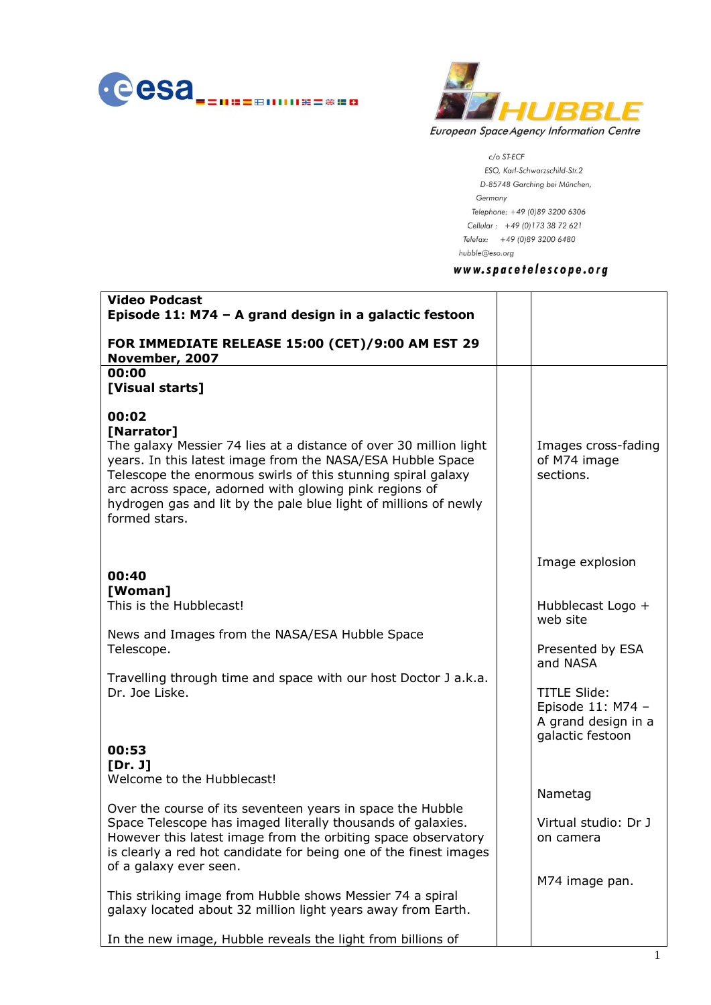



 $c$ /o ST-ECF

ESO, Karl-Schwarzschild-Str.2 D-85748 Garching bei München, Germany Telephone: +49 (0)89 3200 6306 Cellular: +49 (0)173 38 72 621 Telefax: +49 (0)89 3200 6480 hubble@eso.org

## www.spacetelescope.org

| <b>Video Podcast</b><br>Episode 11: M74 - A grand design in a galactic festoon                                                                                                                                                                                                                                                                                        |                                                                                     |
|-----------------------------------------------------------------------------------------------------------------------------------------------------------------------------------------------------------------------------------------------------------------------------------------------------------------------------------------------------------------------|-------------------------------------------------------------------------------------|
| FOR IMMEDIATE RELEASE 15:00 (CET)/9:00 AM EST 29<br>November, 2007                                                                                                                                                                                                                                                                                                    |                                                                                     |
| 00:00<br>[Visual starts]                                                                                                                                                                                                                                                                                                                                              |                                                                                     |
| 00:02<br>[Narrator]<br>The galaxy Messier 74 lies at a distance of over 30 million light<br>years. In this latest image from the NASA/ESA Hubble Space<br>Telescope the enormous swirls of this stunning spiral galaxy<br>arc across space, adorned with glowing pink regions of<br>hydrogen gas and lit by the pale blue light of millions of newly<br>formed stars. | Images cross-fading<br>of M74 image<br>sections.                                    |
| 00:40                                                                                                                                                                                                                                                                                                                                                                 | Image explosion                                                                     |
| [Woman]<br>This is the Hubblecast!                                                                                                                                                                                                                                                                                                                                    | Hubblecast Logo +<br>web site                                                       |
| News and Images from the NASA/ESA Hubble Space<br>Telescope.                                                                                                                                                                                                                                                                                                          | Presented by ESA<br>and NASA                                                        |
| Travelling through time and space with our host Doctor J a.k.a.<br>Dr. Joe Liske.                                                                                                                                                                                                                                                                                     | <b>TITLE Slide:</b><br>Episode 11: M74 -<br>A grand design in a<br>galactic festoon |
| 00:53<br>[Dr. J]<br>Welcome to the Hubblecast!                                                                                                                                                                                                                                                                                                                        |                                                                                     |
| Over the course of its seventeen years in space the Hubble<br>Space Telescope has imaged literally thousands of galaxies.<br>However this latest image from the orbiting space observatory<br>is clearly a red hot candidate for being one of the finest images<br>of a galaxy ever seen.                                                                             | Nametag<br>Virtual studio: Dr J<br>on camera                                        |
| This striking image from Hubble shows Messier 74 a spiral<br>galaxy located about 32 million light years away from Earth.                                                                                                                                                                                                                                             | M74 image pan.                                                                      |
| In the new image, Hubble reveals the light from billions of                                                                                                                                                                                                                                                                                                           |                                                                                     |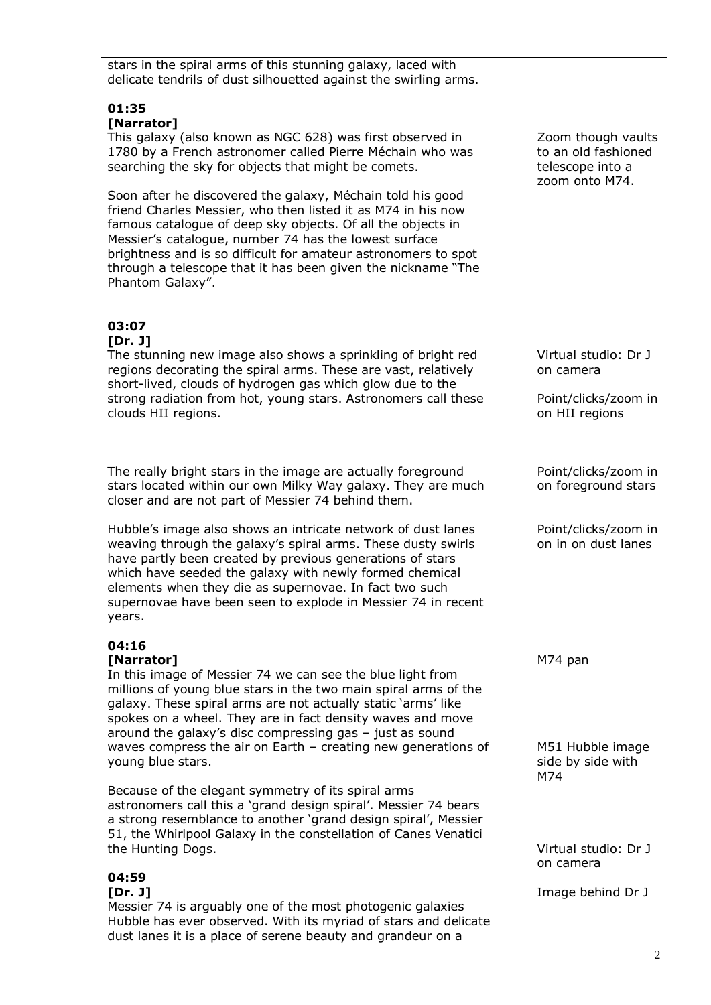| stars in the spiral arms of this stunning galaxy, laced with<br>delicate tendrils of dust silhouetted against the swirling arms.                                                                                                                                                                                                                                                                                                          |                                                                             |
|-------------------------------------------------------------------------------------------------------------------------------------------------------------------------------------------------------------------------------------------------------------------------------------------------------------------------------------------------------------------------------------------------------------------------------------------|-----------------------------------------------------------------------------|
| 01:35<br>[Narrator]<br>This galaxy (also known as NGC 628) was first observed in<br>1780 by a French astronomer called Pierre Méchain who was<br>searching the sky for objects that might be comets.                                                                                                                                                                                                                                      | Zoom though vaults<br>to an old fashioned<br>telescope into a               |
| Soon after he discovered the galaxy, Méchain told his good<br>friend Charles Messier, who then listed it as M74 in his now<br>famous catalogue of deep sky objects. Of all the objects in<br>Messier's catalogue, number 74 has the lowest surface<br>brightness and is so difficult for amateur astronomers to spot<br>through a telescope that it has been given the nickname "The<br>Phantom Galaxy".                                  | zoom onto M74.                                                              |
| 03:07<br>[Dr. J]<br>The stunning new image also shows a sprinkling of bright red<br>regions decorating the spiral arms. These are vast, relatively<br>short-lived, clouds of hydrogen gas which glow due to the<br>strong radiation from hot, young stars. Astronomers call these<br>clouds HII regions.                                                                                                                                  | Virtual studio: Dr J<br>on camera<br>Point/clicks/zoom in<br>on HII regions |
| The really bright stars in the image are actually foreground<br>stars located within our own Milky Way galaxy. They are much<br>closer and are not part of Messier 74 behind them.                                                                                                                                                                                                                                                        | Point/clicks/zoom in<br>on foreground stars                                 |
| Hubble's image also shows an intricate network of dust lanes<br>weaving through the galaxy's spiral arms. These dusty swirls<br>have partly been created by previous generations of stars<br>which have seeded the galaxy with newly formed chemical<br>elements when they die as supernovae. In fact two such<br>supernovae have been seen to explode in Messier 74 in recent<br>years.                                                  | Point/clicks/zoom in<br>on in on dust lanes                                 |
| 04:16<br>[Narrator]<br>In this image of Messier 74 we can see the blue light from<br>millions of young blue stars in the two main spiral arms of the<br>galaxy. These spiral arms are not actually static 'arms' like<br>spokes on a wheel. They are in fact density waves and move<br>around the galaxy's disc compressing gas $-$ just as sound<br>waves compress the air on Earth $-$ creating new generations of<br>young blue stars. | M74 pan<br>M51 Hubble image<br>side by side with                            |
| Because of the elegant symmetry of its spiral arms<br>astronomers call this a 'grand design spiral'. Messier 74 bears<br>a strong resemblance to another 'grand design spiral', Messier<br>51, the Whirlpool Galaxy in the constellation of Canes Venatici<br>the Hunting Dogs.                                                                                                                                                           | M74<br>Virtual studio: Dr J                                                 |
| 04:59<br>[Dr. J]<br>Messier 74 is arguably one of the most photogenic galaxies<br>Hubble has ever observed. With its myriad of stars and delicate<br>dust lanes it is a place of serene beauty and grandeur on a                                                                                                                                                                                                                          | on camera<br>Image behind Dr J                                              |